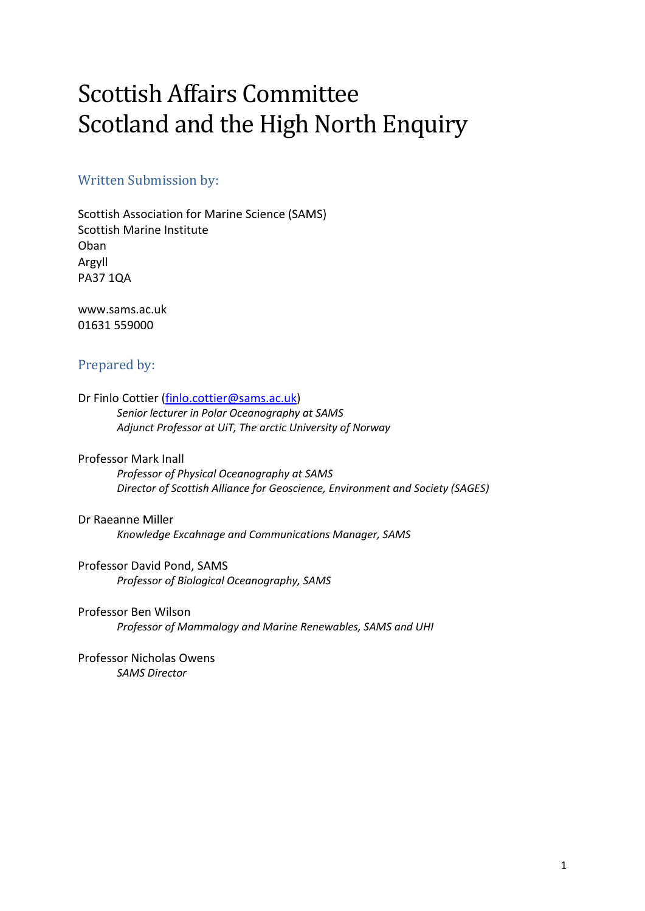# Scottish Affairs Committee Scotland and the High North Enquiry

# Written Submission by:

Scottish Association for Marine Science (SAMS) Scottish Marine Institute Oban Argyll PA37 1QA

www.sams.ac.uk 01631 559000

# Prepared by:

Dr Finlo Cottier [\(finlo.cottier@sams.ac.uk\)](mailto:finlo.cottier@sams.ac.uk) *Senior lecturer in Polar Oceanography at SAMS Adjunct Professor at UiT, The arctic University of Norway*

#### Professor Mark Inall

*Professor of Physical Oceanography at SAMS Director of Scottish Alliance for Geoscience, Environment and Society (SAGES)*

Dr Raeanne Miller *Knowledge Excahnage and Communications Manager, SAMS*

Professor David Pond, SAMS *Professor of Biological Oceanography, SAMS*

Professor Ben Wilson *Professor of Mammalogy and Marine Renewables, SAMS and UHI*

Professor Nicholas Owens *SAMS Director*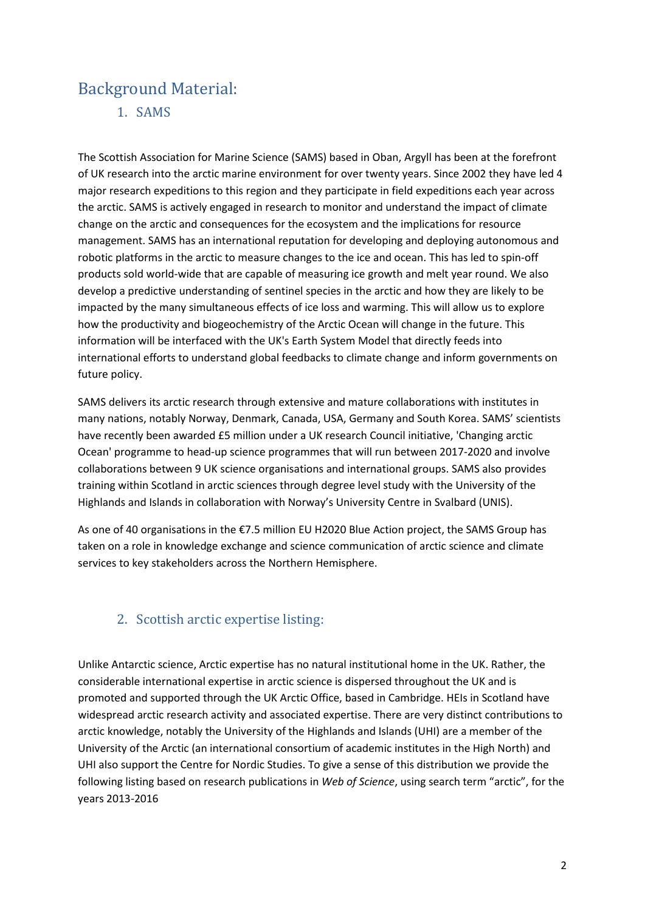# Background Material:

1. SAMS

The Scottish Association for Marine Science (SAMS) based in Oban, Argyll has been at the forefront of UK research into the arctic marine environment for over twenty years. Since 2002 they have led 4 major research expeditions to this region and they participate in field expeditions each year across the arctic. SAMS is actively engaged in research to monitor and understand the impact of climate change on the arctic and consequences for the ecosystem and the implications for resource management. SAMS has an international reputation for developing and deploying autonomous and robotic platforms in the arctic to measure changes to the ice and ocean. This has led to spin-off products sold world-wide that are capable of measuring ice growth and melt year round. We also develop a predictive understanding of sentinel species in the arctic and how they are likely to be impacted by the many simultaneous effects of ice loss and warming. This will allow us to explore how the productivity and biogeochemistry of the Arctic Ocean will change in the future. This information will be interfaced with the UK's Earth System Model that directly feeds into international efforts to understand global feedbacks to climate change and inform governments on future policy.

SAMS delivers its arctic research through extensive and mature collaborations with institutes in many nations, notably Norway, Denmark, Canada, USA, Germany and South Korea. SAMS' scientists have recently been awarded £5 million under a UK research Council initiative, 'Changing arctic Ocean' programme to head-up science programmes that will run between 2017-2020 and involve collaborations between 9 UK science organisations and international groups. SAMS also provides training within Scotland in arctic sciences through degree level study with the University of the Highlands and Islands in collaboration with Norway's University Centre in Svalbard (UNIS).

As one of 40 organisations in the €7.5 million EU H2020 Blue Action project, the SAMS Group has taken on a role in knowledge exchange and science communication of arctic science and climate services to key stakeholders across the Northern Hemisphere.

# 2. Scottish arctic expertise listing:

Unlike Antarctic science, Arctic expertise has no natural institutional home in the UK. Rather, the considerable international expertise in arctic science is dispersed throughout the UK and is promoted and supported through the UK Arctic Office, based in Cambridge. HEIs in Scotland have widespread arctic research activity and associated expertise. There are very distinct contributions to arctic knowledge, notably the University of the Highlands and Islands (UHI) are a member of the University of the Arctic (an international consortium of academic institutes in the High North) and UHI also support the Centre for Nordic Studies. To give a sense of this distribution we provide the following listing based on research publications in *Web of Science*, using search term "arctic", for the years 2013-2016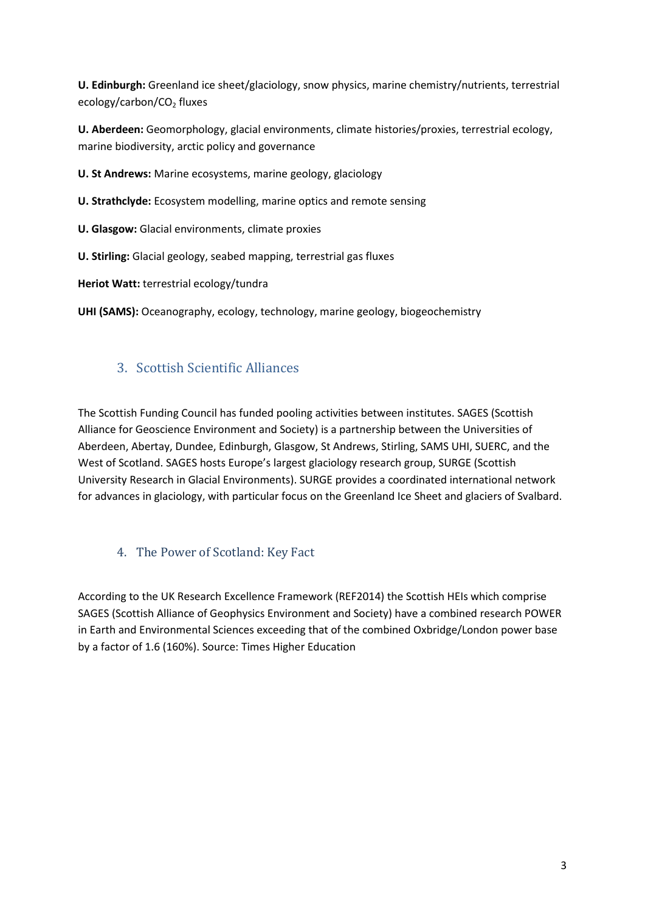**U. Edinburgh:** Greenland ice sheet/glaciology, snow physics, marine chemistry/nutrients, terrestrial ecology/carbon/CO<sub>2</sub> fluxes

**U. Aberdeen:** Geomorphology, glacial environments, climate histories/proxies, terrestrial ecology, marine biodiversity, arctic policy and governance

**U. St Andrews:** Marine ecosystems, marine geology, glaciology

**U. Strathclyde:** Ecosystem modelling, marine optics and remote sensing

**U. Glasgow:** Glacial environments, climate proxies

**U. Stirling:** Glacial geology, seabed mapping, terrestrial gas fluxes

**Heriot Watt:** terrestrial ecology/tundra

**UHI (SAMS):** Oceanography, ecology, technology, marine geology, biogeochemistry

# 3. Scottish Scientific Alliances

The Scottish Funding Council has funded pooling activities between institutes. SAGES (Scottish Alliance for Geoscience Environment and Society) is a partnership between the Universities of Aberdeen, Abertay, Dundee, Edinburgh, Glasgow, St Andrews, Stirling, SAMS UHI, SUERC, and the West of Scotland. SAGES hosts Europe's largest glaciology research group, SURGE (Scottish University Research in Glacial Environments). SURGE provides a coordinated international network for advances in glaciology, with particular focus on the Greenland Ice Sheet and glaciers of Svalbard.

### 4. The Power of Scotland: Key Fact

According to the UK Research Excellence Framework (REF2014) the Scottish HEIs which comprise SAGES (Scottish Alliance of Geophysics Environment and Society) have a combined research POWER in Earth and Environmental Sciences exceeding that of the combined Oxbridge/London power base by a factor of 1.6 (160%). Source: Times Higher Education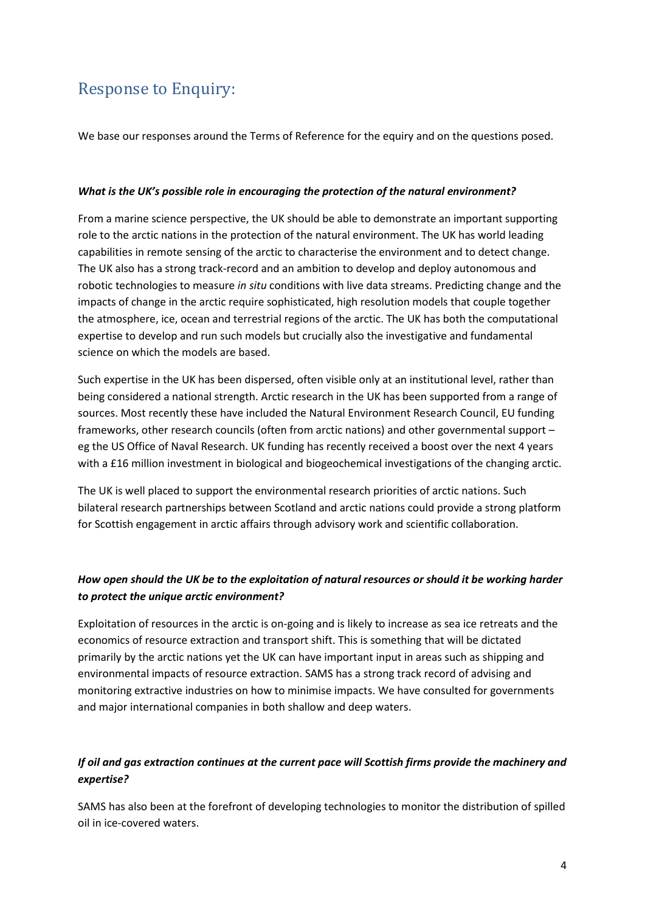# Response to Enquiry:

We base our responses around the Terms of Reference for the equiry and on the questions posed.

#### *What is the UK's possible role in encouraging the protection of the natural environment?*

From a marine science perspective, the UK should be able to demonstrate an important supporting role to the arctic nations in the protection of the natural environment. The UK has world leading capabilities in remote sensing of the arctic to characterise the environment and to detect change. The UK also has a strong track-record and an ambition to develop and deploy autonomous and robotic technologies to measure *in situ* conditions with live data streams. Predicting change and the impacts of change in the arctic require sophisticated, high resolution models that couple together the atmosphere, ice, ocean and terrestrial regions of the arctic. The UK has both the computational expertise to develop and run such models but crucially also the investigative and fundamental science on which the models are based.

Such expertise in the UK has been dispersed, often visible only at an institutional level, rather than being considered a national strength. Arctic research in the UK has been supported from a range of sources. Most recently these have included the Natural Environment Research Council, EU funding frameworks, other research councils (often from arctic nations) and other governmental support – eg the US Office of Naval Research. UK funding has recently received a boost over the next 4 years with a £16 million investment in biological and biogeochemical investigations of the changing arctic.

The UK is well placed to support the environmental research priorities of arctic nations. Such bilateral research partnerships between Scotland and arctic nations could provide a strong platform for Scottish engagement in arctic affairs through advisory work and scientific collaboration.

## *How open should the UK be to the exploitation of natural resources or should it be working harder to protect the unique arctic environment?*

Exploitation of resources in the arctic is on-going and is likely to increase as sea ice retreats and the economics of resource extraction and transport shift. This is something that will be dictated primarily by the arctic nations yet the UK can have important input in areas such as shipping and environmental impacts of resource extraction. SAMS has a strong track record of advising and monitoring extractive industries on how to minimise impacts. We have consulted for governments and major international companies in both shallow and deep waters.

## *If oil and gas extraction continues at the current pace will Scottish firms provide the machinery and expertise?*

SAMS has also been at the forefront of developing technologies to monitor the distribution of spilled oil in ice-covered waters.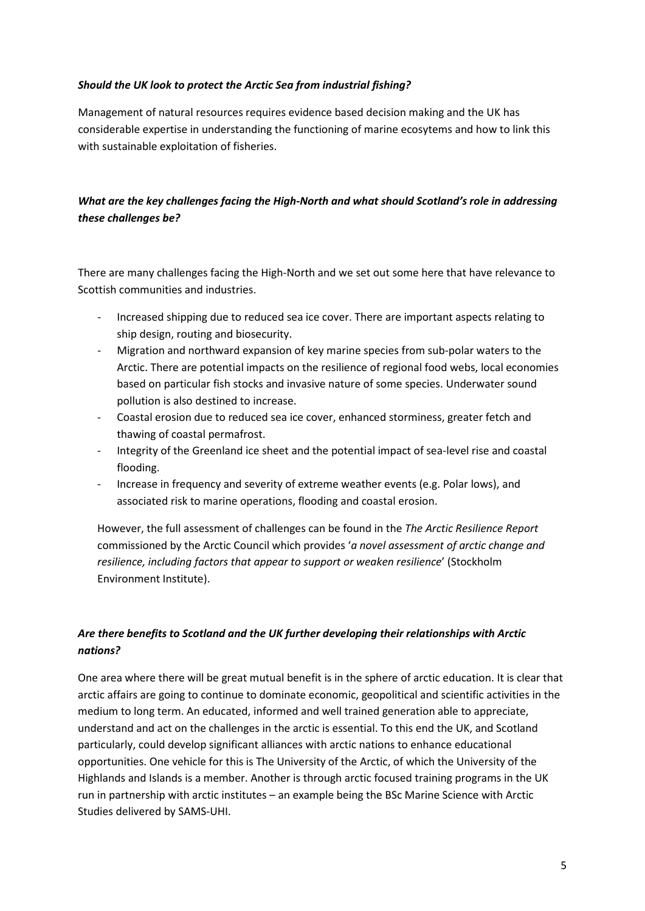#### *Should the UK look to protect the Arctic Sea from industrial fishing?*

Management of natural resources requires evidence based decision making and the UK has considerable expertise in understanding the functioning of marine ecosytems and how to link this with sustainable exploitation of fisheries.

# *What are the key challenges facing the High-North and what should Scotland's role in addressing these challenges be?*

There are many challenges facing the High-North and we set out some here that have relevance to Scottish communities and industries.

- Increased shipping due to reduced sea ice cover. There are important aspects relating to ship design, routing and biosecurity.
- Migration and northward expansion of key marine species from sub-polar waters to the Arctic. There are potential impacts on the resilience of regional food webs, local economies based on particular fish stocks and invasive nature of some species. Underwater sound pollution is also destined to increase.
- Coastal erosion due to reduced sea ice cover, enhanced storminess, greater fetch and thawing of coastal permafrost.
- Integrity of the Greenland ice sheet and the potential impact of sea-level rise and coastal flooding.
- Increase in frequency and severity of extreme weather events (e.g. Polar lows), and associated risk to marine operations, flooding and coastal erosion.

However, the full assessment of challenges can be found in the *The Arctic Resilience Report* commissioned by the Arctic Council which provides '*a novel assessment of arctic change and resilience, including factors that appear to support or weaken resilience*' (Stockholm Environment Institute).

## *Are there benefits to Scotland and the UK further developing their relationships with Arctic nations?*

One area where there will be great mutual benefit is in the sphere of arctic education. It is clear that arctic affairs are going to continue to dominate economic, geopolitical and scientific activities in the medium to long term. An educated, informed and well trained generation able to appreciate, understand and act on the challenges in the arctic is essential. To this end the UK, and Scotland particularly, could develop significant alliances with arctic nations to enhance educational opportunities. One vehicle for this is The University of the Arctic, of which the University of the Highlands and Islands is a member. Another is through arctic focused training programs in the UK run in partnership with arctic institutes – an example being the BSc Marine Science with Arctic Studies delivered by SAMS-UHI.